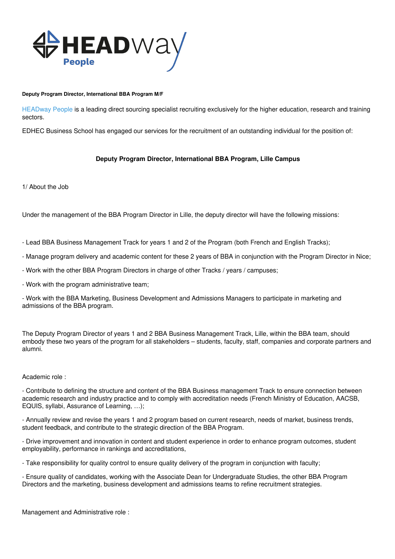

### **Deputy Program Director, International BBA Program M/F**

HEADway People is a leading direct sourcing specialist recruiting exclusively for the higher education, research and training sectors.

EDHEC Business School has engaged our services for the recruitment of an outstanding individual for the position of:

# **Deputy Program Director, International BBA Program, Lille Campus**

1/ About the Job

Under the management of the BBA Program Director in Lille, the deputy director will have the following missions:

- Lead BBA Business Management Track for years 1 and 2 of the Program (both French and English Tracks);

- Manage program delivery and academic content for these 2 years of BBA in conjunction with the Program Director in Nice;

- Work with the other BBA Program Directors in charge of other Tracks / years / campuses;

- Work with the program administrative team;

- Work with the BBA Marketing, Business Development and Admissions Managers to participate in marketing and admissions of the BBA program.

The Deputy Program Director of years 1 and 2 BBA Business Management Track, Lille, within the BBA team, should embody these two years of the program for all stakeholders – students, faculty, staff, companies and corporate partners and alumni.

### Academic role :

- Contribute to defining the structure and content of the BBA Business management Track to ensure connection between academic research and industry practice and to comply with accreditation needs (French Ministry of Education, AACSB, EQUIS, syllabi, Assurance of Learning, …);

- Annually review and revise the years 1 and 2 program based on current research, needs of market, business trends, student feedback, and contribute to the strategic direction of the BBA Program.

- Drive improvement and innovation in content and student experience in order to enhance program outcomes, student employability, performance in rankings and accreditations,

- Take responsibility for quality control to ensure quality delivery of the program in conjunction with faculty;

- Ensure quality of candidates, working with the Associate Dean for Undergraduate Studies, the other BBA Program Directors and the marketing, business development and admissions teams to refine recruitment strategies.

Management and Administrative role :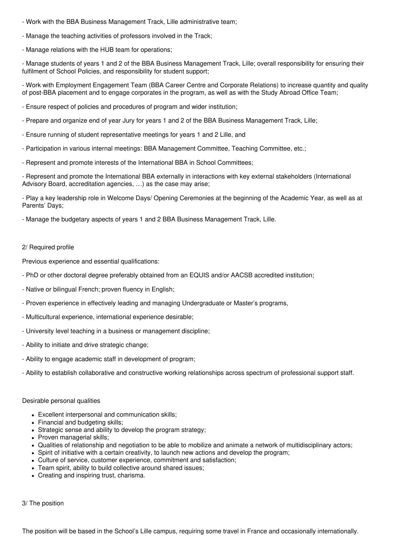- Work with the BBA Business Management Track, Lille administrative team;
- Manage the teaching activities of professors involved in the Track;
- Manage relations with the HUB team for operations;

- Manage students of years 1 and 2 of the BBA Business Management Track, Lille; overall responsibility for ensuring their fulfilment of School Policies, and responsibility for student support;

- Work with Employment Engagement Team (BBA Career Centre and Corporate Relations) to increase quantity and quality of post-BBA placement and to engage corporates in the program, as well as with the Study Abroad Office Team;

- Ensure respect of policies and procedures of program and wider institution;
- Prepare and organize end of year Jury for years 1 and 2 of the BBA Business Management Track, Lille;
- Ensure running of student representative meetings for years 1 and 2 Lille, and
- Participation in various internal meetings: BBA Management Committee, Teaching Committee, etc.;
- Represent and promote interests of the International BBA in School Committees;

- Represent and promote the International BBA externally in interactions with key external stakeholders (International Advisory Board, accreditation agencies, …) as the case may arise;

- Play a key leadership role in Welcome Days/ Opening Ceremonies at the beginning of the Academic Year, as well as at Parents' Days;

- Manage the budgetary aspects of years 1 and 2 BBA Business Management Track, Lille.

## 2/ Required profile

Previous experience and essential qualifications:

- PhD or other doctoral degree preferably obtained from an EQUIS and/or AACSB accredited institution;
- Native or bilingual French; proven fluency in English;
- Proven experience in effectively leading and managing Undergraduate or Master's programs,
- Multicultural experience, international experience desirable;
- University level teaching in a business or management discipline;
- Ability to initiate and drive strategic change;
- Ability to engage academic staff in development of program;
- Ability to establish collaborative and constructive working relationships across spectrum of professional support staff.

## Desirable personal qualities

- Excellent interpersonal and communication skills;
- Financial and budgeting skills;
- Strategic sense and ability to develop the program strategy;
- Proven managerial skills;
- Qualities of relationship and negotiation to be able to mobilize and animate a network of multidisciplinary actors;
- Spirit of initiative with a certain creativity, to launch new actions and develop the program;
- Culture of service, customer experience, commitment and satisfaction;
- Team spirit, ability to build collective around shared issues;
- Creating and inspiring trust, charisma.

3/ The position

The position will be based in the School's Lille campus, requiring some travel in France and occasionally internationally.